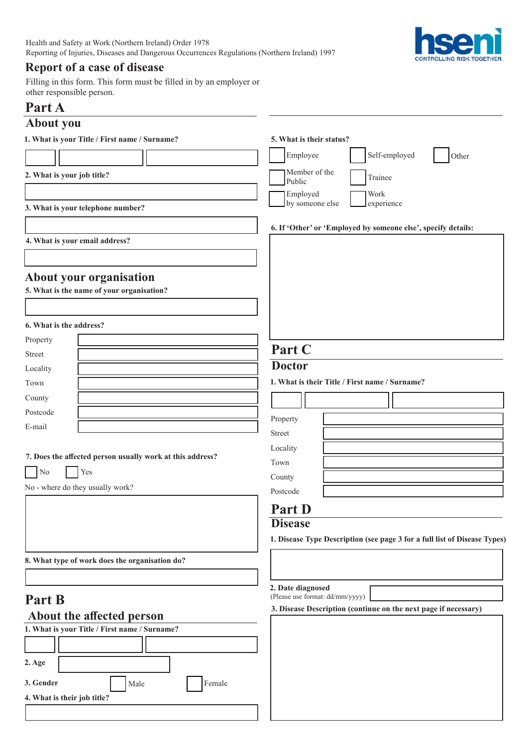

## **Report of a case of disease**

Filling in this form. This form must be filled in by an employer or other responsible person.

## **Part A**

# **About you**

| 1. What is your Title / First name / Surname?             | 5. What is their status?                                                  |  |  |  |
|-----------------------------------------------------------|---------------------------------------------------------------------------|--|--|--|
|                                                           | Self-employed<br>Employee<br>Other                                        |  |  |  |
| 2. What is your job title?                                | Member of the<br>Trainee                                                  |  |  |  |
|                                                           | Public<br>Employed<br>Work                                                |  |  |  |
| 3. What is your telephone number?                         | by someone else<br>experience                                             |  |  |  |
|                                                           |                                                                           |  |  |  |
|                                                           | 6. If 'Other' or 'Employed by someone else', specify details:             |  |  |  |
| 4. What is your email address?                            |                                                                           |  |  |  |
|                                                           |                                                                           |  |  |  |
| About your organisation                                   |                                                                           |  |  |  |
| 5. What is the name of your organisation?                 |                                                                           |  |  |  |
|                                                           |                                                                           |  |  |  |
| 6. What is the address?                                   |                                                                           |  |  |  |
| Property                                                  |                                                                           |  |  |  |
| <b>Street</b>                                             | Part C                                                                    |  |  |  |
| Locality                                                  | <b>Doctor</b>                                                             |  |  |  |
| Town                                                      | 1. What is their Title / First name / Surname?                            |  |  |  |
| County                                                    |                                                                           |  |  |  |
| Postcode                                                  | Property                                                                  |  |  |  |
| E-mail                                                    | Street                                                                    |  |  |  |
|                                                           | Locality                                                                  |  |  |  |
| 7. Does the affected person usually work at this address? | Town                                                                      |  |  |  |
| Yes<br>No                                                 | County                                                                    |  |  |  |
| No - where do they usually work?                          | Postcode                                                                  |  |  |  |
|                                                           | <b>Part D</b>                                                             |  |  |  |
|                                                           | <b>Disease</b>                                                            |  |  |  |
|                                                           | 1. Disease Type Description (see page 3 for a full list of Disease Types) |  |  |  |
| 8. What type of work does the organisation do?            |                                                                           |  |  |  |
|                                                           |                                                                           |  |  |  |
|                                                           | 2. Date diagnosed<br>(Please use format: dd/mm/yyyy)                      |  |  |  |
| Part B                                                    | 3. Disease Description (continue on the next page if necessary)           |  |  |  |
| About the affected person                                 |                                                                           |  |  |  |
| 1. What is your Title / First name / Surname?             |                                                                           |  |  |  |
|                                                           |                                                                           |  |  |  |
| 2. Age                                                    |                                                                           |  |  |  |
| 3. Gender<br>Female<br>Male                               |                                                                           |  |  |  |
| 4. What is their job title?                               |                                                                           |  |  |  |
|                                                           |                                                                           |  |  |  |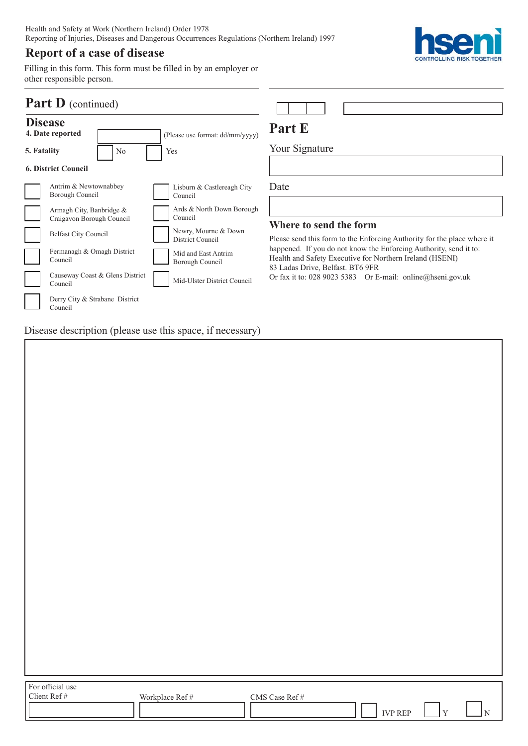Health and Safety at Work (Northern Ireland) Order 1978 Reporting of Injuries, Diseases and Dangerous Occurrences Regulations (Northern Ireland) 1997

## **Report of a case of disease**

**hseni CONTROLLING RISK TOGETHER** 

Filling in this form. This form must be filled in by an employer or other responsible person.

| <b>Part D</b> (continued)          |                                                                                                                    |                                                                                                         |                                                                                                                                                                                                                                    |
|------------------------------------|--------------------------------------------------------------------------------------------------------------------|---------------------------------------------------------------------------------------------------------|------------------------------------------------------------------------------------------------------------------------------------------------------------------------------------------------------------------------------------|
| <b>Disease</b><br>4. Date reported |                                                                                                                    | (Please use format: dd/mm/yyyy)                                                                         | Part E                                                                                                                                                                                                                             |
| No<br>5. Fatality                  |                                                                                                                    | Yes                                                                                                     | Your Signature                                                                                                                                                                                                                     |
|                                    | <b>6. District Council</b>                                                                                         |                                                                                                         |                                                                                                                                                                                                                                    |
|                                    | Antrim & Newtownabbey<br>Borough Council                                                                           | Lisburn & Castlereagh City<br>Council                                                                   | Date                                                                                                                                                                                                                               |
|                                    | Armagh City, Banbridge &<br>Craigavon Borough Council<br><b>Belfast City Council</b><br>Fermanagh & Omagh District | Ards & North Down Borough<br>Council<br>Newry, Mourne & Down<br>District Council<br>Mid and East Antrim | Where to send the form<br>Please send this form to the Enforcing Authority for the place where it<br>happened. If you do not know the Enforcing Authority, send it to:<br>Health and Safety Executive for Northern Ireland (HSENI) |
|                                    | Council<br>Causeway Coast & Glens District<br>Council                                                              | Borough Council<br>Mid-Ulster District Council                                                          | 83 Ladas Drive, Belfast. BT6 9FR<br>Or fax it to: 028 9023 5383 Or E-mail: online@hseni.gov.uk                                                                                                                                     |
|                                    | Derry City & Strabane District<br>Council                                                                          |                                                                                                         |                                                                                                                                                                                                                                    |

Disease description (please use this space, if necessary)

 $\sqrt{ }$ 

| For official use<br>Client Ref # | Workplace Ref # | CMS Case $\operatorname{Ref}\#$ | $\operatorname{IVP}$ REP | $\vert$ Y | $ _{\rm N}$ |
|----------------------------------|-----------------|---------------------------------|--------------------------|-----------|-------------|